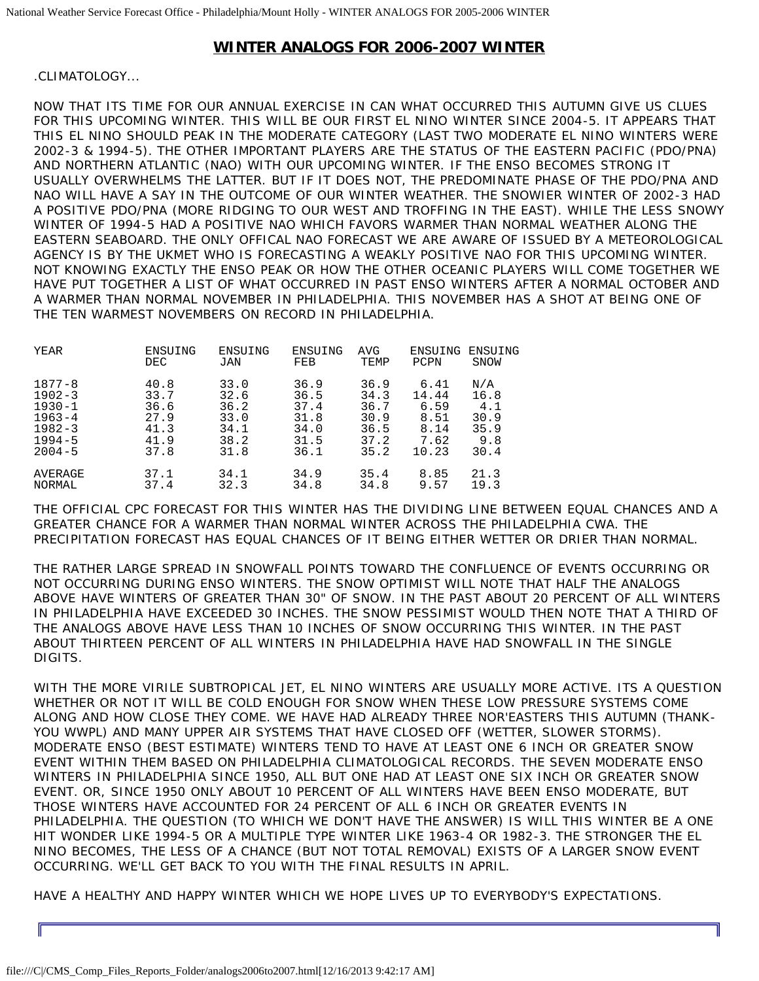## **WINTER ANALOGS FOR 2006-2007 WINTER**

## .CLIMATOLOGY...

NOW THAT ITS TIME FOR OUR ANNUAL EXERCISE IN CAN WHAT OCCURRED THIS AUTUMN GIVE US CLUES FOR THIS UPCOMING WINTER. THIS WILL BE OUR FIRST EL NINO WINTER SINCE 2004-5. IT APPEARS THAT THIS EL NINO SHOULD PEAK IN THE MODERATE CATEGORY (LAST TWO MODERATE EL NINO WINTERS WERE 2002-3 & 1994-5). THE OTHER IMPORTANT PLAYERS ARE THE STATUS OF THE EASTERN PACIFIC (PDO/PNA) AND NORTHERN ATLANTIC (NAO) WITH OUR UPCOMING WINTER. IF THE ENSO BECOMES STRONG IT USUALLY OVERWHELMS THE LATTER. BUT IF IT DOES NOT, THE PREDOMINATE PHASE OF THE PDO/PNA AND NAO WILL HAVE A SAY IN THE OUTCOME OF OUR WINTER WEATHER. THE SNOWIER WINTER OF 2002-3 HAD A POSITIVE PDO/PNA (MORE RIDGING TO OUR WEST AND TROFFING IN THE EAST). WHILE THE LESS SNOWY WINTER OF 1994-5 HAD A POSITIVE NAO WHICH FAVORS WARMER THAN NORMAL WEATHER ALONG THE EASTERN SEABOARD. THE ONLY OFFICAL NAO FORECAST WE ARE AWARE OF ISSUED BY A METEOROLOGICAL AGENCY IS BY THE UKMET WHO IS FORECASTING A WEAKLY POSITIVE NAO FOR THIS UPCOMING WINTER. NOT KNOWING EXACTLY THE ENSO PEAK OR HOW THE OTHER OCEANIC PLAYERS WILL COME TOGETHER WE HAVE PUT TOGETHER A LIST OF WHAT OCCURRED IN PAST ENSO WINTERS AFTER A NORMAL OCTOBER AND A WARMER THAN NORMAL NOVEMBER IN PHILADELPHIA. THIS NOVEMBER HAS A SHOT AT BEING ONE OF THE TEN WARMEST NOVEMBERS ON RECORD IN PHILADELPHIA.

| YEAR       | ENSUING    | ENSUING | ENSUING | AVG  | ENSUING | ENSUING     |
|------------|------------|---------|---------|------|---------|-------------|
|            | <b>DEC</b> | JAN     | FEB     | TEMP | PCPN    | <b>SNOW</b> |
| $1877 - 8$ | 40.8       | 33.0    | 36.9    | 36.9 | 6.41    | N/A         |
| $1902 - 3$ | 33.7       | 32.6    | 36.5    | 34.3 | 14.44   | 16.8        |
| $1930 - 1$ | 36.6       | 36.2    | 37.4    | 36.7 | 6.59    | 4.1         |
| $1963 - 4$ | 27.9       | 33.0    | 31.8    | 30.9 | 8.51    | 30.9        |
| $1982 - 3$ | 41.3       | 34.1    | 34.0    | 36.5 | 8.14    | 35.9        |
| $1994 - 5$ | 41.9       | 38.2    | 31.5    | 37.2 | 7.62    | 9.8         |
| $2004 - 5$ | 37.8       | 31.8    | 36.1    | 35.2 | 10.23   | 30.4        |
| AVERAGE    | 37.1       | 34.1    | 34.9    | 35.4 | 8.85    | 21.3        |
| NORMAL     | 37.4       | 32.3    | 34.8    | 34.8 | 9.57    | 19.3        |

THE OFFICIAL CPC FORECAST FOR THIS WINTER HAS THE DIVIDING LINE BETWEEN EQUAL CHANCES AND A GREATER CHANCE FOR A WARMER THAN NORMAL WINTER ACROSS THE PHILADELPHIA CWA. THE PRECIPITATION FORECAST HAS EQUAL CHANCES OF IT BEING EITHER WETTER OR DRIER THAN NORMAL.

THE RATHER LARGE SPREAD IN SNOWFALL POINTS TOWARD THE CONFLUENCE OF EVENTS OCCURRING OR NOT OCCURRING DURING ENSO WINTERS. THE SNOW OPTIMIST WILL NOTE THAT HALF THE ANALOGS ABOVE HAVE WINTERS OF GREATER THAN 30" OF SNOW. IN THE PAST ABOUT 20 PERCENT OF ALL WINTERS IN PHILADELPHIA HAVE EXCEEDED 30 INCHES. THE SNOW PESSIMIST WOULD THEN NOTE THAT A THIRD OF THE ANALOGS ABOVE HAVE LESS THAN 10 INCHES OF SNOW OCCURRING THIS WINTER. IN THE PAST ABOUT THIRTEEN PERCENT OF ALL WINTERS IN PHILADELPHIA HAVE HAD SNOWFALL IN THE SINGLE DIGITS.

WITH THE MORE VIRILE SUBTROPICAL JET, EL NINO WINTERS ARE USUALLY MORE ACTIVE. ITS A QUESTION WHETHER OR NOT IT WILL BE COLD ENOUGH FOR SNOW WHEN THESE LOW PRESSURE SYSTEMS COME ALONG AND HOW CLOSE THEY COME. WE HAVE HAD ALREADY THREE NOR'EASTERS THIS AUTUMN (THANK-YOU WWPL) AND MANY UPPER AIR SYSTEMS THAT HAVE CLOSED OFF (WETTER, SLOWER STORMS). MODERATE ENSO (BEST ESTIMATE) WINTERS TEND TO HAVE AT LEAST ONE 6 INCH OR GREATER SNOW EVENT WITHIN THEM BASED ON PHILADELPHIA CLIMATOLOGICAL RECORDS. THE SEVEN MODERATE ENSO WINTERS IN PHILADELPHIA SINCE 1950, ALL BUT ONE HAD AT LEAST ONE SIX INCH OR GREATER SNOW EVENT. OR, SINCE 1950 ONLY ABOUT 10 PERCENT OF ALL WINTERS HAVE BEEN ENSO MODERATE, BUT THOSE WINTERS HAVE ACCOUNTED FOR 24 PERCENT OF ALL 6 INCH OR GREATER EVENTS IN PHILADELPHIA. THE QUESTION (TO WHICH WE DON'T HAVE THE ANSWER) IS WILL THIS WINTER BE A ONE HIT WONDER LIKE 1994-5 OR A MULTIPLE TYPE WINTER LIKE 1963-4 OR 1982-3. THE STRONGER THE EL NINO BECOMES, THE LESS OF A CHANCE (BUT NOT TOTAL REMOVAL) EXISTS OF A LARGER SNOW EVENT OCCURRING. WE'LL GET BACK TO YOU WITH THE FINAL RESULTS IN APRIL.

HAVE A HEALTHY AND HAPPY WINTER WHICH WE HOPE LIVES UP TO EVERYBODY'S EXPECTATIONS.

Iſ